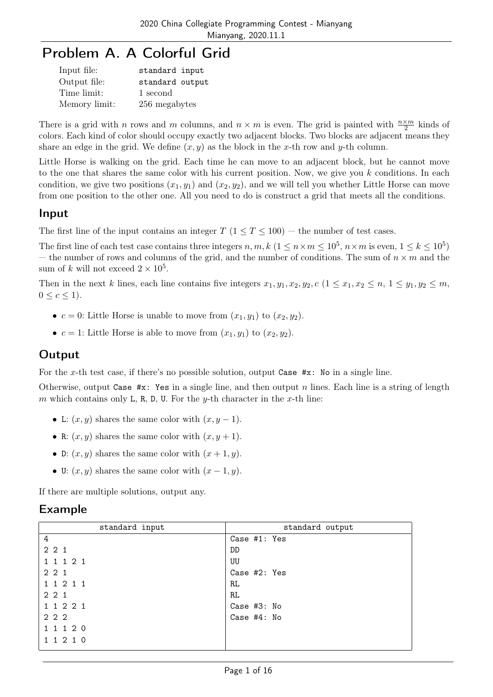## Problem A. A Colorful Grid

| Input file:   | standard input  |
|---------------|-----------------|
| Output file:  | standard output |
| Time limit:   | 1 second        |
| Memory limit: | 256 megabytes   |

There is a grid with n rows and m columns, and  $n \times m$  is even. The grid is painted with  $\frac{n \times m}{2}$  kinds of colors. Each kind of color should occupy exactly two adjacent blocks. Two blocks are adjacent means they share an edge in the grid. We define  $(x, y)$  as the block in the x-th row and y-th column.

Little Horse is walking on the grid. Each time he can move to an adjacent block, but he cannot move to the one that shares the same color with his current position. Now, we give you k conditions. In each condition, we give two positions  $(x_1, y_1)$  and  $(x_2, y_2)$ , and we will tell you whether Little Horse can move from one position to the other one. All you need to do is construct a grid that meets all the conditions.

#### Input

The first line of the input contains an integer  $T (1 \le T \le 100)$  — the number of test cases.

The first line of each test case contains three integers  $n, m, k$   $(1 \le n \times m \le 10^5, n \times m$  is even,  $1 \le k \le 10^5)$ — the number of rows and columns of the grid, and the number of conditions. The sum of  $n \times m$  and the sum of k will not exceed  $2 \times 10^5$ .

Then in the next k lines, each line contains five integers  $x_1, y_1, x_2, y_2, c \ (1 \leq x_1, x_2 \leq n, 1 \leq y_1, y_2 \leq m,$  $0 \leq c \leq 1$ .

- $c = 0$ : Little Horse is unable to move from  $(x_1, y_1)$  to  $(x_2, y_2)$ .
- $c = 1$ : Little Horse is able to move from  $(x_1, y_1)$  to  $(x_2, y_2)$ .

#### **Output**

For the x-th test case, if there's no possible solution, output Case #x: No in a single line.

Otherwise, output Case  $\#x$ : Yes in a single line, and then output n lines. Each line is a string of length m which contains only L, R, D, U. For the y-th character in the x-th line:

- L:  $(x, y)$  shares the same color with  $(x, y 1)$ .
- R:  $(x, y)$  shares the same color with  $(x, y + 1)$ .
- D:  $(x, y)$  shares the same color with  $(x + 1, y)$ .
- U:  $(x, y)$  shares the same color with  $(x 1, y)$ .

If there are multiple solutions, output any.

| standard input | standard output |
|----------------|-----------------|
| $\,4\,$        | Case $#1:$ Yes  |
| 221            | DD              |
| 1 1 1 2 1      | UU              |
| 221            | Case #2: Yes    |
| 1 1 2 1 1      | RL.             |
| 2 2 1          | RL.             |
| 1 1 2 2 1      | Case #3: No     |
| 2 2 2          | Case #4: No     |
| 1 1 1 2 0      |                 |
| 1 1 2 1 0      |                 |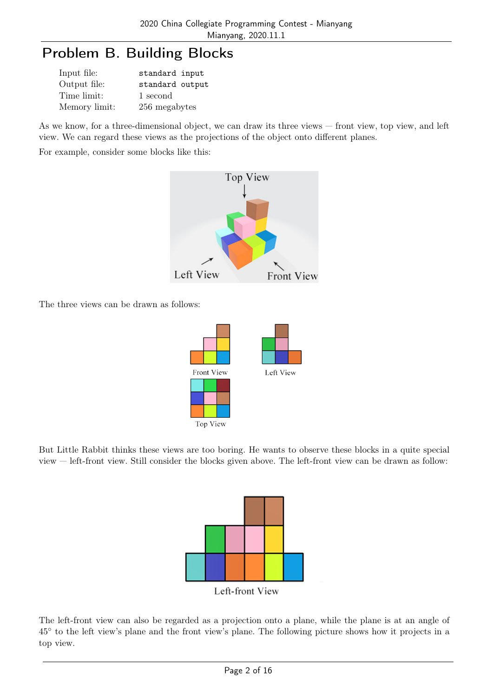# Problem B. Building Blocks

| Input file:   | standard input  |
|---------------|-----------------|
| Output file:  | standard output |
| Time limit:   | 1 second        |
| Memory limit: | 256 megabytes   |

As we know, for a three-dimensional object, we can draw its three views — front view, top view, and left view. We can regard these views as the projections of the object onto different planes.

For example, consider some blocks like this:



The three views can be drawn as follows:



But Little Rabbit thinks these views are too boring. He wants to observe these blocks in a quite special view — left-front view. Still consider the blocks given above. The left-front view can be drawn as follow:



The left-front view can also be regarded as a projection onto a plane, while the plane is at an angle of 45◦ to the left view's plane and the front view's plane. The following picture shows how it projects in a top view.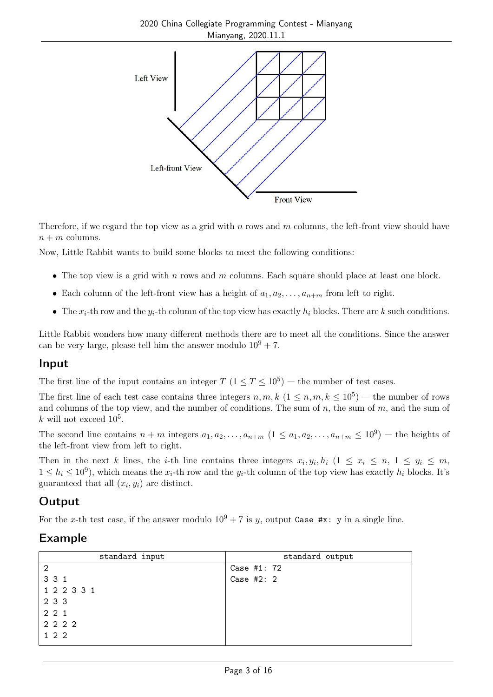

Therefore, if we regard the top view as a grid with n rows and  $m$  columns, the left-front view should have  $n + m$  columns.

Now, Little Rabbit wants to build some blocks to meet the following conditions:

- The top view is a grid with n rows and  $m$  columns. Each square should place at least one block.
- Each column of the left-front view has a height of  $a_1, a_2, \ldots, a_{n+m}$  from left to right.
- The  $x_i$ -th row and the  $y_i$ -th column of the top view has exactly  $h_i$  blocks. There are k such conditions.

Little Rabbit wonders how many different methods there are to meet all the conditions. Since the answer can be very large, please tell him the answer modulo  $10^9 + 7$ .

#### Input

The first line of the input contains an integer  $T$   $(1 \le T \le 10^5)$  – the number of test cases.

The first line of each test case contains three integers  $n, m, k$   $(1 \leq n, m, k \leq 10^5)$  – the number of rows and columns of the top view, and the number of conditions. The sum of n, the sum of m, and the sum of k will not exceed  $10^5$ .

The second line contains  $n + m$  integers  $a_1, a_2, \ldots, a_{n+m}$   $(1 \le a_1, a_2, \ldots, a_{n+m} \le 10^9)$  – the heights of the left-front view from left to right.

Then in the next k lines, the *i*-th line contains three integers  $x_i, y_i, h_i$   $(1 \le x_i \le n, 1 \le y_i \le m,$  $1 \le h_i \le 10^9$ , which means the  $x_i$ -th row and the  $y_i$ -th column of the top view has exactly  $h_i$  blocks. It's guaranteed that all  $(x_i, y_i)$  are distinct.

### **Output**

For the x-th test case, if the answer modulo  $10^9 + 7$  is y, output Case #x: y in a single line.

| standard input | standard output |
|----------------|-----------------|
| $\overline{2}$ | Case #1: 72     |
| 3 3 1          | Case $#2:2$     |
| 1 2 2 3 3 1    |                 |
| 2 3 3          |                 |
| 221            |                 |
| 2 2 2 2        |                 |
| 1 2 2          |                 |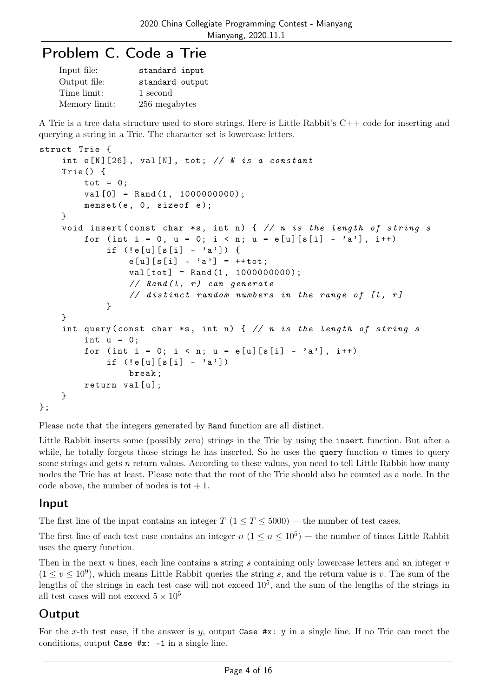## Problem C. Code a Trie

| Input file:   | standard input  |
|---------------|-----------------|
| Output file:  | standard output |
| Time limit:   | 1 second        |
| Memory limit: | 256 megabytes   |

A Trie is a tree data structure used to store strings. Here is Little Rabbit's C++ code for inserting and querying a string in a Trie. The character set is lowercase letters.

```
struct Trie {
    int e[N][26], val[N], tot; // N is a constant
    Trie () {
        tot = 0;
        val [0] = Rand(1, 1000000000);memset (e, 0, size of e);}
    void insert (const char *s, int n) { // n is the length of string s
        for (int i = 0, u = 0; i < n; u = e[u][s[i] - 'a'], i++)
            if (!e[u][s[i] - 'a')] {
                e[u][s[i] - 'a'] = ++tot;val[tot] = Rand(1, 1000000000);// Rand (l, r) can generate
                // distinct random numbers in the range of [l, r]}
    }
    int query (const char *s, int n) { // n is the length of string s
        int u = 0;
        for (int i = 0; i < n; u = e[u][s[i] - 'a'], i++)
            if (!e[u][s[i] - 'a')]break ;
        return val [u];
    }
};
```
Please note that the integers generated by Rand function are all distinct.

Little Rabbit inserts some (possibly zero) strings in the Trie by using the insert function. But after a while, he totally forgets those strings he has inserted. So he uses the query function n times to query some strings and gets  $n$  return values. According to these values, you need to tell Little Rabbit how many nodes the Trie has at least. Please note that the root of the Trie should also be counted as a node. In the code above, the number of nodes is tot  $+1$ .

#### Input

The first line of the input contains an integer  $T (1 \le T \le 5000)$  — the number of test cases.

The first line of each test case contains an integer  $n (1 \le n \le 10^5)$  – the number of times Little Rabbit uses the query function.

Then in the next n lines, each line contains a string s containing only lowercase letters and an integer  $v$  $(1 \le v \le 10^9)$ , which means Little Rabbit queries the string s, and the return value is v. The sum of the lengths of the strings in each test case will not exceed  $10^5$ , and the sum of the lengths of the strings in all test cases will not exceed  $5 \times 10^5$ 

### **Output**

For the x-th test case, if the answer is  $y$ , output Case  $\#x$ : y in a single line. If no Trie can meet the conditions, output Case #x: -1 in a single line.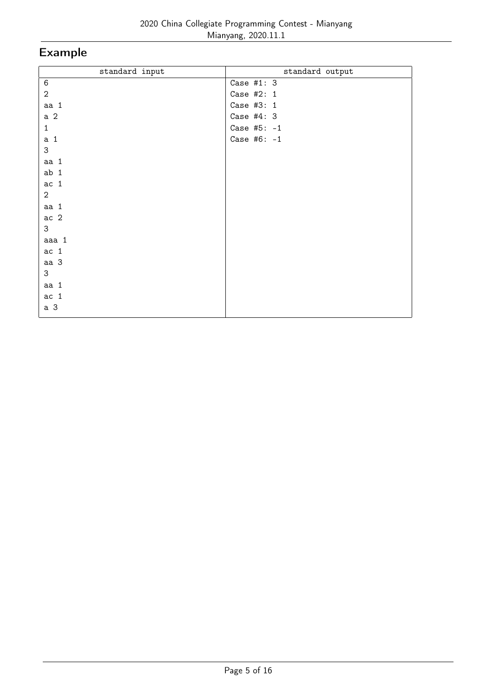| standard input  | standard output |
|-----------------|-----------------|
| $\,6\,$         | Case #1: $3$    |
| $\overline{2}$  | Case #2: 1      |
| aa 1            | Case #3: 1      |
| a <sub>2</sub>  | Case $#4:3$     |
| $\mathbf{1}$    | Case #5: $-1$   |
| a <sub>1</sub>  | Case #6: $-1$   |
| 3               |                 |
| aa 1            |                 |
| ab <sub>1</sub> |                 |
| ac <sub>1</sub> |                 |
| $\overline{2}$  |                 |
| aa 1            |                 |
| ac <sub>2</sub> |                 |
| 3               |                 |
| aaa 1           |                 |
| ac <sub>1</sub> |                 |
| aa <sub>3</sub> |                 |
| 3               |                 |
| aa 1            |                 |
| ac <sub>1</sub> |                 |
| a <sub>3</sub>  |                 |
|                 |                 |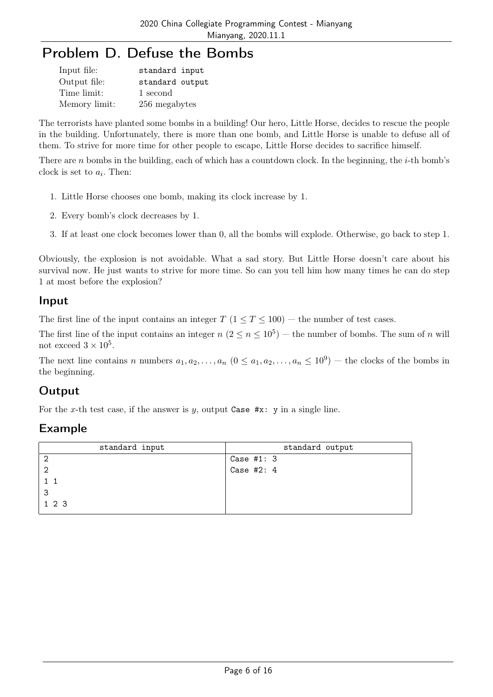# Problem D. Defuse the Bombs

| Input file:   | standard input  |
|---------------|-----------------|
| Output file:  | standard output |
| Time limit:   | 1 second        |
| Memory limit: | 256 megabytes   |

The terrorists have planted some bombs in a building! Our hero, Little Horse, decides to rescue the people in the building. Unfortunately, there is more than one bomb, and Little Horse is unable to defuse all of them. To strive for more time for other people to escape, Little Horse decides to sacrifice himself.

There are n bombs in the building, each of which has a countdown clock. In the beginning, the  $i$ -th bomb's clock is set to  $a_i$ . Then:

- 1. Little Horse chooses one bomb, making its clock increase by 1.
- 2. Every bomb's clock decreases by 1.
- 3. If at least one clock becomes lower than 0, all the bombs will explode. Otherwise, go back to step 1.

Obviously, the explosion is not avoidable. What a sad story. But Little Horse doesn't care about his survival now. He just wants to strive for more time. So can you tell him how many times he can do step 1 at most before the explosion?

#### Input

The first line of the input contains an integer  $T$  ( $1 \le T \le 100$ ) — the number of test cases.

The first line of the input contains an integer  $n (2 \le n \le 10^5)$  — the number of bombs. The sum of n will not exceed  $3 \times 10^5$ .

The next line contains n numbers  $a_1, a_2, \ldots, a_n$   $(0 \le a_1, a_2, \ldots, a_n \le 10^9)$  – the clocks of the bombs in the beginning.

### **Output**

For the x-th test case, if the answer is y, output Case  $\#x: y$  in a single line.

| standard input | standard output |
|----------------|-----------------|
|                | Case $#1: 3$    |
| 2              | Case #2: $4$    |
|                |                 |
| 3              |                 |
| 1 2 3          |                 |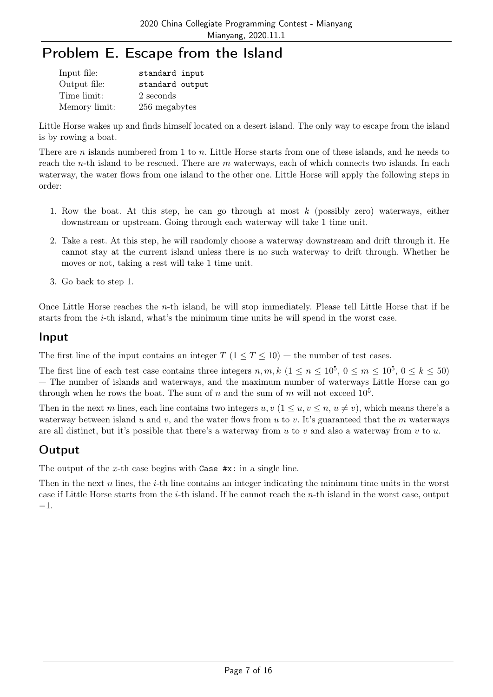# Problem E. Escape from the Island

| Input file:   | standard input  |
|---------------|-----------------|
| Output file:  | standard output |
| Time limit:   | 2 seconds       |
| Memory limit: | 256 megabytes   |

Little Horse wakes up and finds himself located on a desert island. The only way to escape from the island is by rowing a boat.

There are n islands numbered from 1 to n. Little Horse starts from one of these islands, and he needs to reach the *n*-th island to be rescued. There are m waterways, each of which connects two islands. In each waterway, the water flows from one island to the other one. Little Horse will apply the following steps in order:

- 1. Row the boat. At this step, he can go through at most k (possibly zero) waterways, either downstream or upstream. Going through each waterway will take 1 time unit.
- 2. Take a rest. At this step, he will randomly choose a waterway downstream and drift through it. He cannot stay at the current island unless there is no such waterway to drift through. Whether he moves or not, taking a rest will take 1 time unit.
- 3. Go back to step 1.

Once Little Horse reaches the n-th island, he will stop immediately. Please tell Little Horse that if he starts from the i-th island, what's the minimum time units he will spend in the worst case.

#### Input

The first line of the input contains an integer  $T$  ( $1 \le T \le 10$ ) – the number of test cases.

The first line of each test case contains three integers  $n, m, k$   $(1 \le n \le 10^5, 0 \le m \le 10^5, 0 \le k \le 50)$ — The number of islands and waterways, and the maximum number of waterways Little Horse can go through when he rows the boat. The sum of n and the sum of m will not exceed  $10^5$ .

Then in the next m lines, each line contains two integers  $u, v \in (1 \le u, v \le n, u \ne v)$ , which means there's a waterway between island u and v, and the water flows from u to v. It's guaranteed that the m waterways are all distinct, but it's possible that there's a waterway from  $u$  to  $v$  and also a waterway from  $v$  to  $u$ .

### **Output**

The output of the x-th case begins with Case  $\#x$ : in a single line.

Then in the next n lines, the  $i$ -th line contains an integer indicating the minimum time units in the worst case if Little Horse starts from the *i*-th island. If he cannot reach the *n*-th island in the worst case, output −1.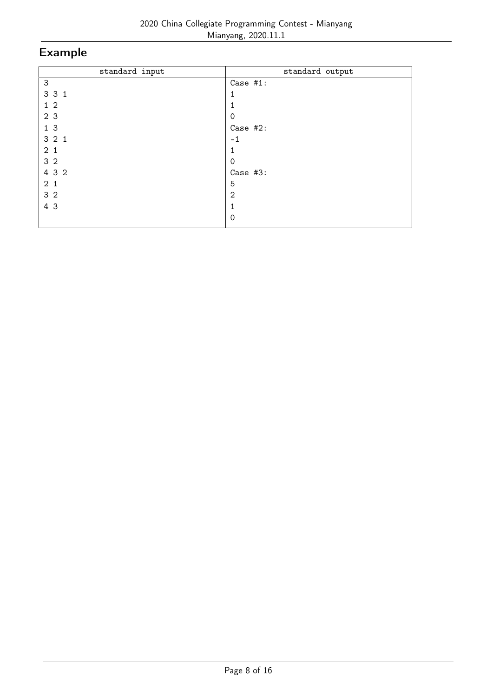| standard input | standard output |
|----------------|-----------------|
| 3              | Case #1:        |
| 3 3 1          | 1               |
| 1 <sub>2</sub> | 1               |
| 2 3            | 0               |
| 13             | Case #2:        |
| 321            | $-1$            |
| 2 <sub>1</sub> |                 |
| 3 <sub>2</sub> | 0               |
| 4 3 2          | Case #3:        |
| 2 <sub>1</sub> | 5               |
| 3 <sub>2</sub> | $\overline{2}$  |
| 4 3            | 1               |
|                | $\Omega$        |
|                |                 |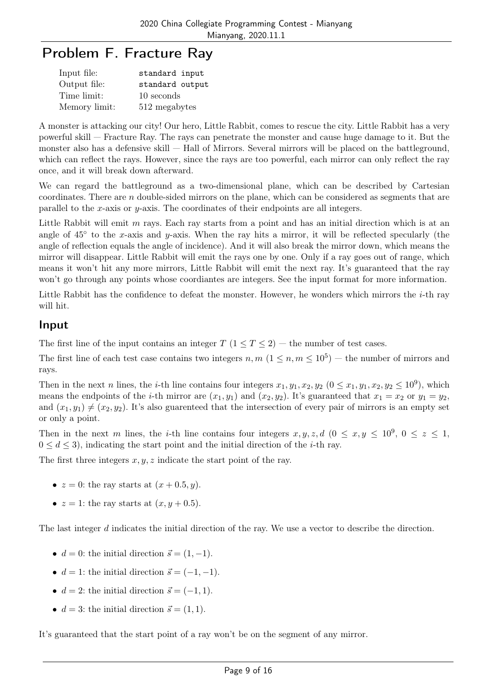## Problem F. Fracture Ray

| Input file:   | standard input  |
|---------------|-----------------|
| Output file:  | standard output |
| Time limit:   | 10 seconds      |
| Memory limit: | 512 megabytes   |

A monster is attacking our city! Our hero, Little Rabbit, comes to rescue the city. Little Rabbit has a very powerful skill — Fracture Ray. The rays can penetrate the monster and cause huge damage to it. But the monster also has a defensive skill — Hall of Mirrors. Several mirrors will be placed on the battleground, which can reflect the rays. However, since the rays are too powerful, each mirror can only reflect the ray once, and it will break down afterward.

We can regard the battleground as a two-dimensional plane, which can be described by Cartesian coordinates. There are n double-sided mirrors on the plane, which can be considered as segments that are parallel to the x-axis or y-axis. The coordinates of their endpoints are all integers.

Little Rabbit will emit  $m$  rays. Each ray starts from a point and has an initial direction which is at an angle of  $45^{\circ}$  to the x-axis and y-axis. When the ray hits a mirror, it will be reflected specularly (the angle of reflection equals the angle of incidence). And it will also break the mirror down, which means the mirror will disappear. Little Rabbit will emit the rays one by one. Only if a ray goes out of range, which means it won't hit any more mirrors, Little Rabbit will emit the next ray. It's guaranteed that the ray won't go through any points whose coordiantes are integers. See the input format for more information.

Little Rabbit has the confidence to defeat the monster. However, he wonders which mirrors the  $i$ -th ray will hit.

#### Input

The first line of the input contains an integer  $T$  ( $1 \le T \le 2$ ) — the number of test cases.

The first line of each test case contains two integers  $n, m$   $(1 \leq n, m \leq 10^5)$  – the number of mirrors and rays.

Then in the next n lines, the *i*-th line contains four integers  $x_1, y_1, x_2, y_2$   $(0 \le x_1, y_1, x_2, y_2 \le 10^9)$ , which means the endpoints of the *i*-th mirror are  $(x_1, y_1)$  and  $(x_2, y_2)$ . It's guaranteed that  $x_1 = x_2$  or  $y_1 = y_2$ , and  $(x_1, y_1) \neq (x_2, y_2)$ . It's also guarenteed that the intersection of every pair of mirrors is an empty set or only a point.

Then in the next m lines, the *i*-th line contains four integers  $x, y, z, d$   $(0 \le x, y \le 10^9, 0 \le z \le 1,$  $0 \leq d \leq 3$ , indicating the start point and the initial direction of the *i*-th ray.

The first three integers  $x, y, z$  indicate the start point of the ray.

- $z = 0$ : the ray starts at  $(x + 0.5, y)$ .
- $z = 1$ : the ray starts at  $(x, y + 0.5)$ .

The last integer d indicates the initial direction of the ray. We use a vector to describe the direction.

- $d = 0$ : the initial direction  $\vec{s} = (1, -1)$ .
- $d = 1$ : the initial direction  $\vec{s} = (-1, -1)$ .
- $d = 2$ : the initial direction  $\vec{s} = (-1, 1)$ .
- $d = 3$ : the initial direction  $\vec{s} = (1, 1)$ .

It's guaranteed that the start point of a ray won't be on the segment of any mirror.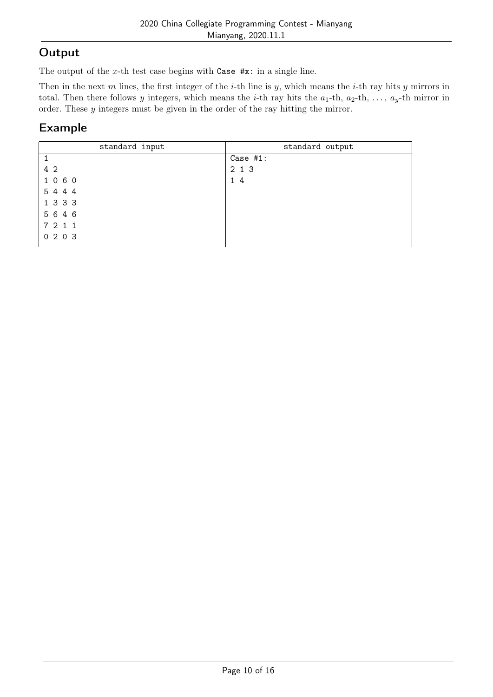## Output

The output of the x-th test case begins with Case  $\#x$ : in a single line.

Then in the next m lines, the first integer of the *i*-th line is  $y$ , which means the *i*-th ray hits  $y$  mirrors in total. Then there follows y integers, which means the *i*-th ray hits the  $a_1$ -th,  $a_2$ -th, ...,  $a_y$ -th mirror in order. These y integers must be given in the order of the ray hitting the mirror.

| standard input | standard output |
|----------------|-----------------|
|                | Case $#1$ :     |
| 4 2            | 2 1 3           |
| 1060           | 14              |
| 5 4 4 4        |                 |
| 1 3 3 3        |                 |
| 5 6 4 6        |                 |
| 7 2 1 1        |                 |
| 0203           |                 |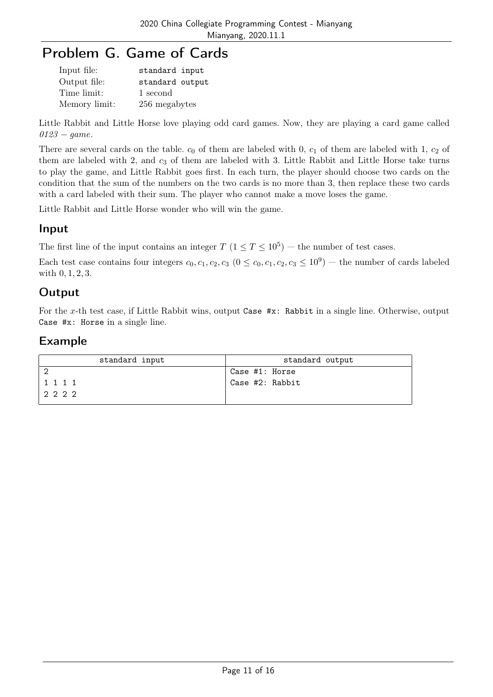# Problem G. Game of Cards

| Input file:   | standard input  |
|---------------|-----------------|
| Output file:  | standard output |
| Time limit:   | 1 second        |
| Memory limit: | 256 megabytes   |

Little Rabbit and Little Horse love playing odd card games. Now, they are playing a card game called  $0123 - game.$ 

There are several cards on the table.  $c_0$  of them are labeled with 0,  $c_1$  of them are labeled with 1,  $c_2$  of them are labeled with 2, and  $c_3$  of them are labeled with 3. Little Rabbit and Little Horse take turns to play the game, and Little Rabbit goes first. In each turn, the player should choose two cards on the condition that the sum of the numbers on the two cards is no more than 3, then replace these two cards with a card labeled with their sum. The player who cannot make a move loses the game.

Little Rabbit and Little Horse wonder who will win the game.

#### Input

The first line of the input contains an integer  $T$   $(1 \le T \le 10^5)$  – the number of test cases.

Each test case contains four integers  $c_0, c_1, c_2, c_3$   $(0 \le c_0, c_1, c_2, c_3 \le 10^9)$  – the number of cards labeled with 0, 1, 2, 3.

#### Output

For the x-th test case, if Little Rabbit wins, output Case #x: Rabbit in a single line. Otherwise, output Case #x: Horse in a single line.

| standard input | standard output  |
|----------------|------------------|
|                | Case #1: Horse   |
| 1 1 1 1        | 'Case #2: Rabbit |
| 2222           |                  |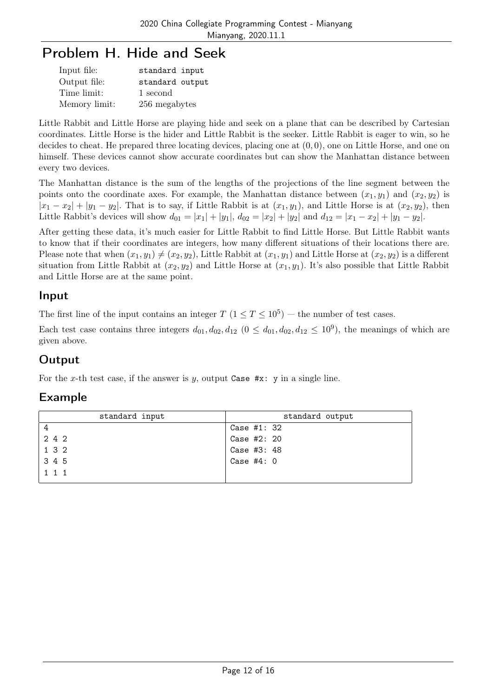# Problem H. Hide and Seek

| Input file:   | standard input  |
|---------------|-----------------|
| Output file:  | standard output |
| Time limit:   | 1 second        |
| Memory limit: | 256 megabytes   |

Little Rabbit and Little Horse are playing hide and seek on a plane that can be described by Cartesian coordinates. Little Horse is the hider and Little Rabbit is the seeker. Little Rabbit is eager to win, so he decides to cheat. He prepared three locating devices, placing one at  $(0, 0)$ , one on Little Horse, and one on himself. These devices cannot show accurate coordinates but can show the Manhattan distance between every two devices.

The Manhattan distance is the sum of the lengths of the projections of the line segment between the points onto the coordinate axes. For example, the Manhattan distance between  $(x_1, y_1)$  and  $(x_2, y_2)$  is  $|x_1 - x_2| + |y_1 - y_2|$ . That is to say, if Little Rabbit is at  $(x_1, y_1)$ , and Little Horse is at  $(x_2, y_2)$ , then Little Rabbit's devices will show  $d_{01} = |x_1| + |y_1|$ ,  $d_{02} = |x_2| + |y_2|$  and  $d_{12} = |x_1 - x_2| + |y_1 - y_2|$ .

After getting these data, it's much easier for Little Rabbit to find Little Horse. But Little Rabbit wants to know that if their coordinates are integers, how many different situations of their locations there are. Please note that when  $(x_1, y_1) \neq (x_2, y_2)$ , Little Rabbit at  $(x_1, y_1)$  and Little Horse at  $(x_2, y_2)$  is a different situation from Little Rabbit at  $(x_2, y_2)$  and Little Horse at  $(x_1, y_1)$ . It's also possible that Little Rabbit and Little Horse are at the same point.

#### Input

The first line of the input contains an integer  $T$   $(1 \le T \le 10^5)$  – the number of test cases.

Each test case contains three integers  $d_{01}, d_{02}, d_{12} \ (0 \leq d_{01}, d_{02}, d_{12} \leq 10^9)$ , the meanings of which are given above.

### **Output**

For the x-th test case, if the answer is y, output Case  $\#x: y$  in a single line.

| standard input | standard output |
|----------------|-----------------|
| 4              | Case #1: 32     |
| 2 4 2          | Case #2: 20     |
| 1 3 2          | Case #3: 48     |
| 3 4 5          | Case $#4:0$     |
| $1 \t1 \t1$    |                 |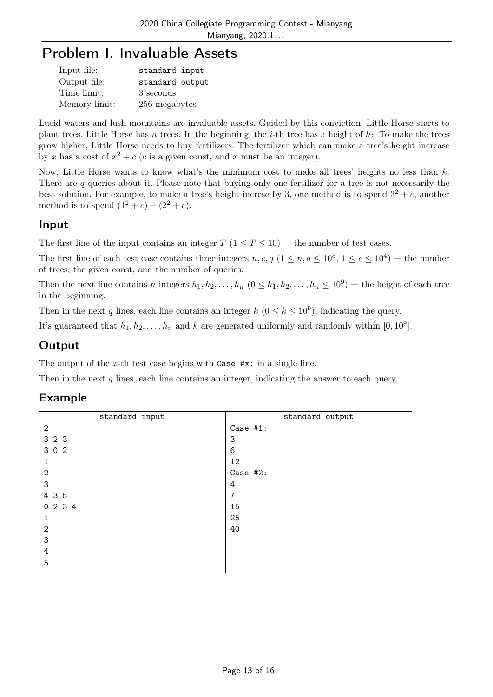### Problem I. Invaluable Assets

| Input file:   | standard input  |
|---------------|-----------------|
| Output file:  | standard output |
| Time limit:   | 3 seconds       |
| Memory limit: | 256 megabytes   |

Lucid waters and lush mountains are invaluable assets. Guided by this conviction, Little Horse starts to plant trees. Little Horse has n trees. In the beginning, the *i*-th tree has a height of  $h_i$ . To make the trees grow higher, Little Horse needs to buy fertilizers. The fertilizer which can make a tree's height increase by x has a cost of  $x^2 + c$  (c is a given const, and x must be an integer).

Now, Little Horse wants to know what's the minimum cost to make all trees' heights no less than k. There are q queries about it. Please note that buying only one fertilizer for a tree is not necessarily the best solution. For example, to make a tree's height increse by 3, one method is to spend  $3^2 + c$ , another method is to spend  $(1^2 + c) + (2^2 + c)$ .

#### Input

The first line of the input contains an integer  $T$  ( $1 \le T \le 10$ ) – the number of test cases.

The first line of each test case contains three integers  $n, c, q$   $(1 \le n, q \le 10^5, 1 \le c \le 10^4)$  – the number of trees, the given const, and the number of queries.

Then the next line contains n integers  $h_1, h_2, \ldots, h_n$   $(0 \le h_1, h_2, \ldots, h_n \le 10^9)$  — the height of each tree in the beginning.

Then in the next q lines, each line contains an integer  $k$   $(0 \le k \le 10^9)$ , indicating the query.

It's guaranteed that  $h_1, h_2, \ldots, h_n$  and k are generated uniformly and randomly within [0, 10<sup>9</sup>].

### **Output**

The output of the x-th test case begins with Case  $\#x:$  in a single line.

Then in the next q lines, each line contains an integer, indicating the answer to each query.

| standard input | standard output |
|----------------|-----------------|
| $\overline{2}$ | Case #1:        |
| 3 2 3          | 3               |
| 3 0 2          | 6               |
| 1              | 12              |
| $\mathbf{2}$   | Case #2:        |
| 3              | 4               |
| 4 3 5          | 7               |
| 0234           | 15              |
| 1              | 25              |
| $\overline{2}$ | 40              |
| 3              |                 |
| 4              |                 |
| 5              |                 |
|                |                 |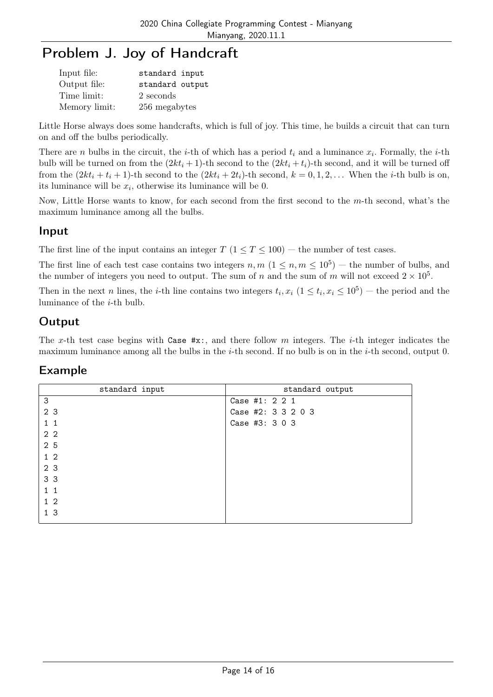# Problem J. Joy of Handcraft

| Input file:   | standard input  |
|---------------|-----------------|
| Output file:  | standard output |
| Time limit:   | 2 seconds       |
| Memory limit: | 256 megabytes   |

Little Horse always does some handcrafts, which is full of joy. This time, he builds a circuit that can turn on and off the bulbs periodically.

There are *n* bulbs in the circuit, the *i*-th of which has a period  $t_i$  and a luminance  $x_i$ . Formally, the *i*-th bulb will be turned on from the  $(2kt_i + 1)$ -th second to the  $(2kt_i + t_i)$ -th second, and it will be turned off from the  $(2kt_i + t_i + 1)$ -th second to the  $(2kt_i + 2t_i)$ -th second,  $k = 0, 1, 2, \ldots$  When the *i*-th bulb is on, its luminance will be  $x_i$ , otherwise its luminance will be 0.

Now, Little Horse wants to know, for each second from the first second to the  $m$ -th second, what's the maximum luminance among all the bulbs.

#### Input

The first line of the input contains an integer  $T$  ( $1 \le T \le 100$ ) — the number of test cases.

The first line of each test case contains two integers  $n, m$   $(1 \leq n, m \leq 10^5)$  – the number of bulbs, and the number of integers you need to output. The sum of n and the sum of m will not exceed  $2 \times 10^5$ .

Then in the next n lines, the *i*-th line contains two integers  $t_i$ ,  $x_i$  ( $1 \le t_i$ ,  $x_i \le 10^5$ ) – the period and the luminance of the i-th bulb.

### **Output**

The x-th test case begins with Case  $\#x$ :, and there follow m integers. The *i*-th integer indicates the maximum luminance among all the bulbs in the  $i$ -th second. If no bulb is on in the  $i$ -th second, output 0.

| standard input | standard output    |
|----------------|--------------------|
| 3              | Case #1: 2 2 1     |
| 2 <sub>3</sub> | Case #2: 3 3 2 0 3 |
| $1\quad1$      | Case #3: 3 0 3     |
| 2 <sub>2</sub> |                    |
| 2 5            |                    |
| $1\,2$         |                    |
| 2 3            |                    |
| 3 3            |                    |
| $1\quad1$      |                    |
| 1 <sub>2</sub> |                    |
| 1 <sub>3</sub> |                    |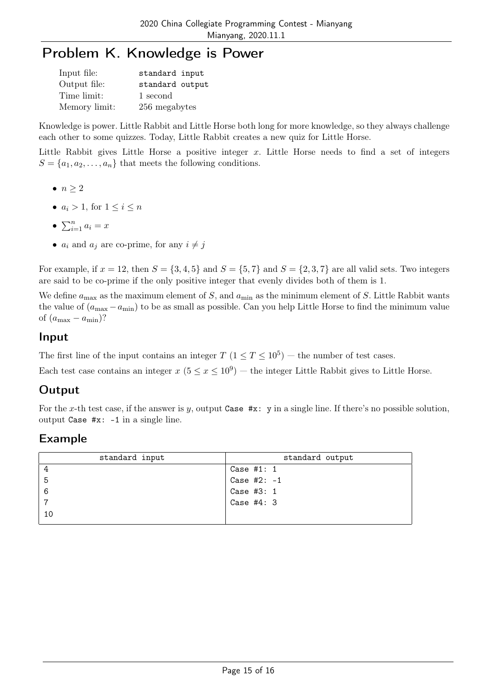# Problem K. Knowledge is Power

| Input file:   | standard input  |
|---------------|-----------------|
| Output file:  | standard output |
| Time limit:   | 1 second        |
| Memory limit: | 256 megabytes   |

Knowledge is power. Little Rabbit and Little Horse both long for more knowledge, so they always challenge each other to some quizzes. Today, Little Rabbit creates a new quiz for Little Horse.

Little Rabbit gives Little Horse a positive integer  $x$ . Little Horse needs to find a set of integers  $S = \{a_1, a_2, \ldots, a_n\}$  that meets the following conditions.

- $\bullet$   $n \geq 2$
- $a_i > 1$ , for  $1 \le i \le n$
- $\sum_{i=1}^n a_i = x$
- $a_i$  and  $a_j$  are co-prime, for any  $i \neq j$

For example, if  $x = 12$ , then  $S = \{3, 4, 5\}$  and  $S = \{5, 7\}$  and  $S = \{2, 3, 7\}$  are all valid sets. Two integers are said to be co-prime if the only positive integer that evenly divides both of them is 1.

We define  $a_{\text{max}}$  as the maximum element of S, and  $a_{\text{min}}$  as the minimum element of S. Little Rabbit wants the value of  $(a_{\text{max}} - a_{\text{min}})$  to be as small as possible. Can you help Little Horse to find the minimum value of  $(a_{\text{max}} - a_{\text{min}})$ ?

#### Input

The first line of the input contains an integer  $T$   $(1 \le T \le 10^5)$  – the number of test cases.

Each test case contains an integer  $x (5 \le x \le 10^9)$  – the integer Little Rabbit gives to Little Horse.

### **Output**

For the x-th test case, if the answer is y, output Case  $\#x$ : y in a single line. If there's no possible solution, output Case #x: -1 in a single line.

| standard input | standard output |
|----------------|-----------------|
|                | Case $#1: 1$    |
| 5              | Case #2: $-1$   |
| -6             | Case #3: 1      |
|                | Case $#4:3$     |
| 10             |                 |